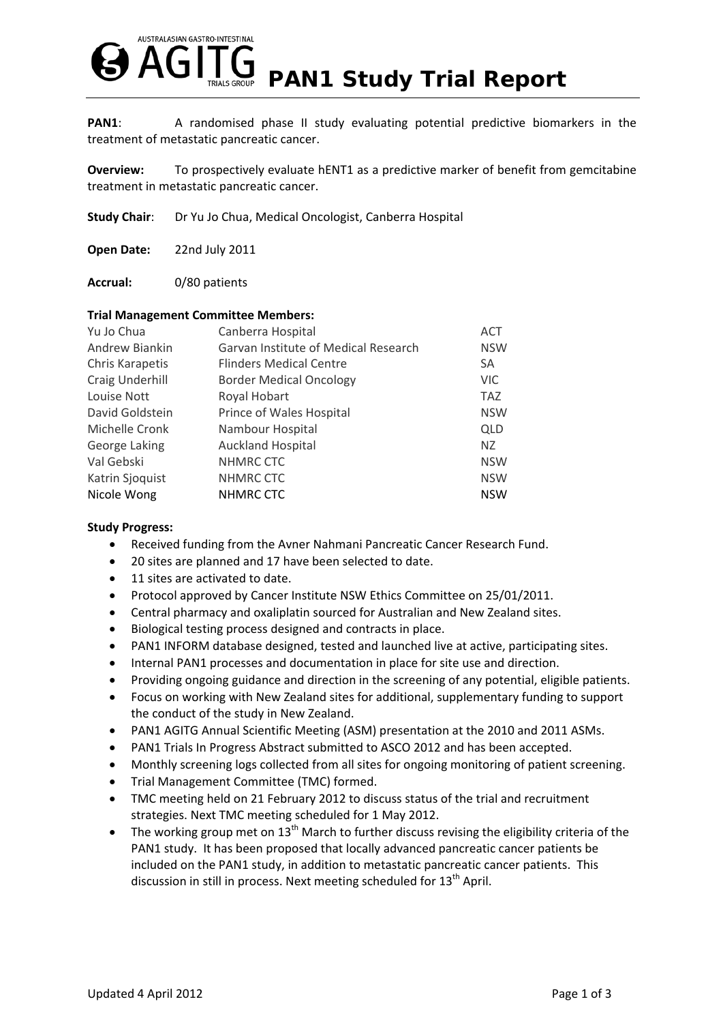

**PAN1:** A randomised phase II study evaluating potential predictive biomarkers in the treatment of metastatic pancreatic cancer.

**Overview:** To prospectively evaluate hENT1 as a predictive marker of benefit from gemcitabine treatment in metastatic pancreatic cancer.

**Study Chair**: Dr Yu Jo Chua, Medical Oncologist, Canberra Hospital

**Open Date:** 22nd July 2011

**Accrual:** 0/80 patients

## **Trial Management Committee Members:**

| Canberra Hospital                    | <b>ACT</b> |
|--------------------------------------|------------|
| Garvan Institute of Medical Research | <b>NSW</b> |
| <b>Flinders Medical Centre</b>       | SA         |
| <b>Border Medical Oncology</b>       | <b>VIC</b> |
| Royal Hobart                         | <b>TAZ</b> |
| Prince of Wales Hospital             | <b>NSW</b> |
| Nambour Hospital                     | <b>QLD</b> |
| <b>Auckland Hospital</b>             | NZ         |
| NHMRC CTC                            | <b>NSW</b> |
| NHMRC CTC                            | <b>NSW</b> |
| <b>NHMRC CTC</b>                     | <b>NSW</b> |
|                                      |            |

## **Study Progress:**

- Received funding from the Avner Nahmani Pancreatic Cancer Research Fund.
- 20 sites are planned and 17 have been selected to date.
- 11 sites are activated to date.
- Protocol approved by Cancer Institute NSW Ethics Committee on 25/01/2011.
- Central pharmacy and oxaliplatin sourced for Australian and New Zealand sites.
- Biological testing process designed and contracts in place.
- PAN1 INFORM database designed, tested and launched live at active, participating sites.
- Internal PAN1 processes and documentation in place for site use and direction.
- Providing ongoing guidance and direction in the screening of any potential, eligible patients.
- Focus on working with New Zealand sites for additional, supplementary funding to support the conduct of the study in New Zealand.
- PAN1 AGITG Annual Scientific Meeting (ASM) presentation at the 2010 and 2011 ASMs.
- PAN1 Trials In Progress Abstract submitted to ASCO 2012 and has been accepted.
- Monthly screening logs collected from all sites for ongoing monitoring of patient screening.
- Trial Management Committee (TMC) formed.
- TMC meeting held on 21 February 2012 to discuss status of the trial and recruitment strategies. Next TMC meeting scheduled for 1 May 2012.
- The working group met on  $13<sup>th</sup>$  March to further discuss revising the eligibility criteria of the PAN1 study. It has been proposed that locally advanced pancreatic cancer patients be included on the PAN1 study, in addition to metastatic pancreatic cancer patients. This discussion in still in process. Next meeting scheduled for 13<sup>th</sup> April.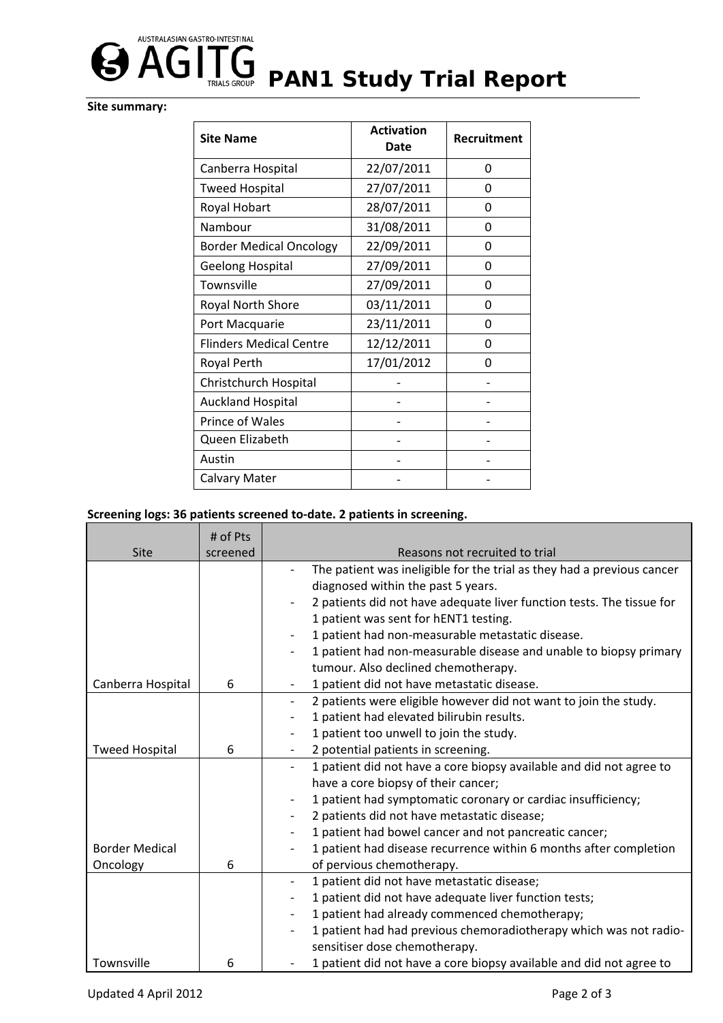

## **Site summary:**

| <b>Site Name</b>               | <b>Activation</b><br>Date | Recruitment |
|--------------------------------|---------------------------|-------------|
| Canberra Hospital              | 22/07/2011                | 0           |
| <b>Tweed Hospital</b>          | 27/07/2011                | 0           |
| Royal Hobart                   | 28/07/2011                | 0           |
| Nambour                        | 31/08/2011                | 0           |
| <b>Border Medical Oncology</b> | 22/09/2011                | 0           |
| <b>Geelong Hospital</b>        | 27/09/2011                | 0           |
| Townsville                     | 27/09/2011                | 0           |
| Royal North Shore              | 03/11/2011                | 0           |
| Port Macquarie                 | 23/11/2011                | 0           |
| <b>Flinders Medical Centre</b> | 12/12/2011                | 0           |
| Royal Perth                    | 17/01/2012                | U           |
| Christchurch Hospital          |                           |             |
| <b>Auckland Hospital</b>       |                           |             |
| <b>Prince of Wales</b>         |                           |             |
| Queen Elizabeth                |                           |             |
| Austin                         |                           |             |
| Calvary Mater                  |                           |             |

## **Screening logs: 36 patients screened to‐date. 2 patients in screening.**

|                       | # of Pts |                                                                                                 |
|-----------------------|----------|-------------------------------------------------------------------------------------------------|
| Site                  | screened | Reasons not recruited to trial                                                                  |
|                       |          | The patient was ineligible for the trial as they had a previous cancer                          |
|                       |          | diagnosed within the past 5 years.                                                              |
|                       |          | 2 patients did not have adequate liver function tests. The tissue for                           |
|                       |          | 1 patient was sent for hENT1 testing.                                                           |
|                       |          | 1 patient had non-measurable metastatic disease.                                                |
|                       |          | 1 patient had non-measurable disease and unable to biopsy primary                               |
|                       |          | tumour. Also declined chemotherapy.                                                             |
| Canberra Hospital     | 6        | 1 patient did not have metastatic disease.<br>$\overline{\phantom{a}}$                          |
|                       |          | 2 patients were eligible however did not want to join the study.<br>$\overline{\phantom{a}}$    |
|                       |          | 1 patient had elevated bilirubin results.                                                       |
|                       |          | 1 patient too unwell to join the study.                                                         |
| <b>Tweed Hospital</b> | 6        | 2 potential patients in screening.                                                              |
|                       |          | 1 patient did not have a core biopsy available and did not agree to<br>$\overline{\phantom{a}}$ |
|                       |          | have a core biopsy of their cancer;                                                             |
|                       |          | 1 patient had symptomatic coronary or cardiac insufficiency;                                    |
|                       |          | 2 patients did not have metastatic disease;                                                     |
|                       |          | 1 patient had bowel cancer and not pancreatic cancer;                                           |
| <b>Border Medical</b> |          | 1 patient had disease recurrence within 6 months after completion                               |
| Oncology              | 6        | of pervious chemotherapy.                                                                       |
|                       |          | 1 patient did not have metastatic disease;                                                      |
|                       |          | 1 patient did not have adequate liver function tests;                                           |
|                       |          | 1 patient had already commenced chemotherapy;<br>$\qquad \qquad -$                              |
|                       |          | 1 patient had had previous chemoradiotherapy which was not radio-                               |
|                       |          | sensitiser dose chemotherapy.                                                                   |
| Townsville            | 6        | 1 patient did not have a core biopsy available and did not agree to                             |